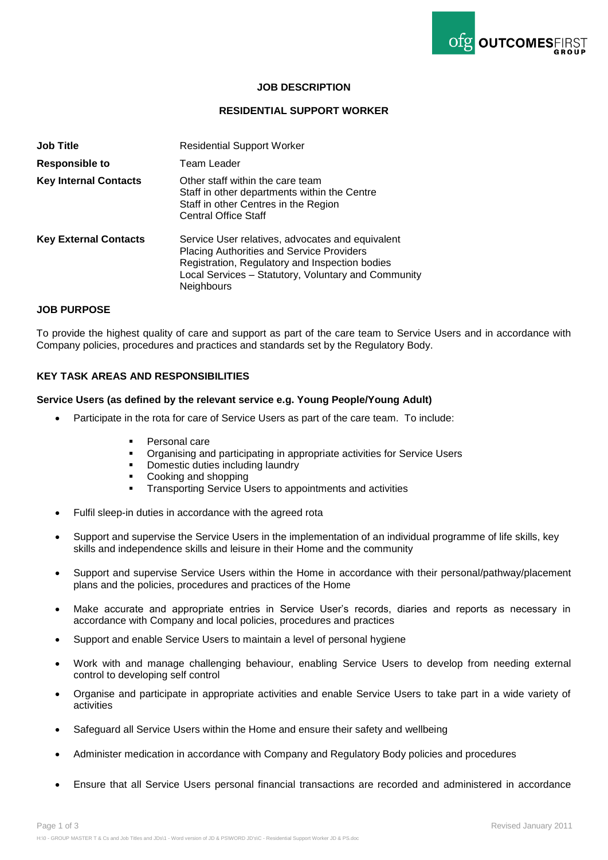

# **JOB DESCRIPTION**

## **RESIDENTIAL SUPPORT WORKER**

| <b>Job Title</b>             | <b>Residential Support Worker</b>                                                                                                                                                                                           |
|------------------------------|-----------------------------------------------------------------------------------------------------------------------------------------------------------------------------------------------------------------------------|
| <b>Responsible to</b>        | Team Leader                                                                                                                                                                                                                 |
| <b>Key Internal Contacts</b> | Other staff within the care team<br>Staff in other departments within the Centre<br>Staff in other Centres in the Region<br><b>Central Office Staff</b>                                                                     |
| <b>Key External Contacts</b> | Service User relatives, advocates and equivalent<br><b>Placing Authorities and Service Providers</b><br>Registration, Regulatory and Inspection bodies<br>Local Services - Statutory, Voluntary and Community<br>Neighbours |

### **JOB PURPOSE**

To provide the highest quality of care and support as part of the care team to Service Users and in accordance with Company policies, procedures and practices and standards set by the Regulatory Body.

## **KEY TASK AREAS AND RESPONSIBILITIES**

#### **Service Users (as defined by the relevant service e.g. Young People/Young Adult)**

- Participate in the rota for care of Service Users as part of the care team. To include:
	- Personal care
	- Organising and participating in appropriate activities for Service Users
	- Domestic duties including laundry
	- Cooking and shopping
	- **Transporting Service Users to appointments and activities**
- Fulfil sleep-in duties in accordance with the agreed rota
- Support and supervise the Service Users in the implementation of an individual programme of life skills, key skills and independence skills and leisure in their Home and the community
- Support and supervise Service Users within the Home in accordance with their personal/pathway/placement plans and the policies, procedures and practices of the Home
- Make accurate and appropriate entries in Service User's records, diaries and reports as necessary in accordance with Company and local policies, procedures and practices
- Support and enable Service Users to maintain a level of personal hygiene
- Work with and manage challenging behaviour, enabling Service Users to develop from needing external control to developing self control
- Organise and participate in appropriate activities and enable Service Users to take part in a wide variety of activities
- Safeguard all Service Users within the Home and ensure their safety and wellbeing
- Administer medication in accordance with Company and Regulatory Body policies and procedures
- Ensure that all Service Users personal financial transactions are recorded and administered in accordance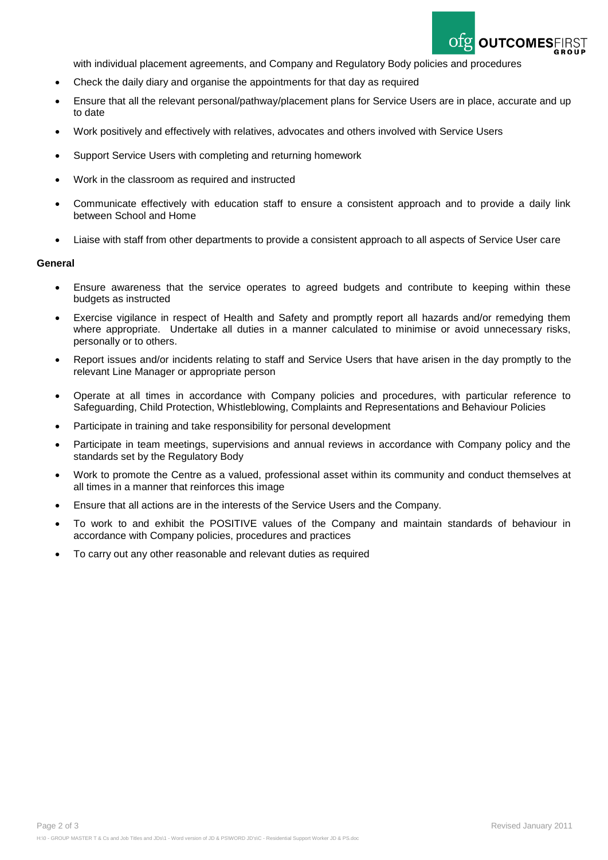

with individual placement agreements, and Company and Regulatory Body policies and procedures

- Check the daily diary and organise the appointments for that day as required
- Ensure that all the relevant personal/pathway/placement plans for Service Users are in place, accurate and up to date
- Work positively and effectively with relatives, advocates and others involved with Service Users
- Support Service Users with completing and returning homework
- Work in the classroom as required and instructed
- Communicate effectively with education staff to ensure a consistent approach and to provide a daily link between School and Home
- Liaise with staff from other departments to provide a consistent approach to all aspects of Service User care

#### **General**

- Ensure awareness that the service operates to agreed budgets and contribute to keeping within these budgets as instructed
- Exercise vigilance in respect of Health and Safety and promptly report all hazards and/or remedying them where appropriate. Undertake all duties in a manner calculated to minimise or avoid unnecessary risks, personally or to others.
- Report issues and/or incidents relating to staff and Service Users that have arisen in the day promptly to the relevant Line Manager or appropriate person
- Operate at all times in accordance with Company policies and procedures, with particular reference to Safeguarding, Child Protection, Whistleblowing, Complaints and Representations and Behaviour Policies
- Participate in training and take responsibility for personal development
- Participate in team meetings, supervisions and annual reviews in accordance with Company policy and the standards set by the Regulatory Body
- Work to promote the Centre as a valued, professional asset within its community and conduct themselves at all times in a manner that reinforces this image
- Ensure that all actions are in the interests of the Service Users and the Company.
- To work to and exhibit the POSITIVE values of the Company and maintain standards of behaviour in accordance with Company policies, procedures and practices
- To carry out any other reasonable and relevant duties as required